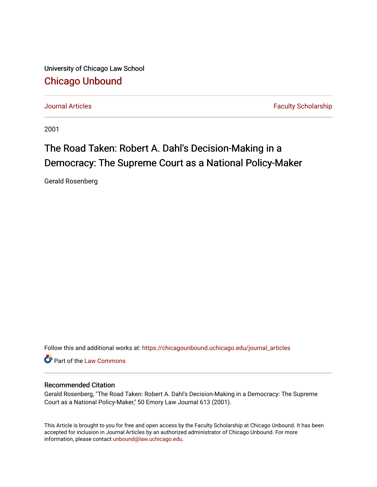University of Chicago Law School [Chicago Unbound](https://chicagounbound.uchicago.edu/)

[Journal Articles](https://chicagounbound.uchicago.edu/journal_articles) **Faculty Scholarship Journal Articles** 

2001

# The Road Taken: Robert A. Dahl's Decision-Making in a Democracy: The Supreme Court as a National Policy-Maker

Gerald Rosenberg

Follow this and additional works at: [https://chicagounbound.uchicago.edu/journal\\_articles](https://chicagounbound.uchicago.edu/journal_articles?utm_source=chicagounbound.uchicago.edu%2Fjournal_articles%2F3750&utm_medium=PDF&utm_campaign=PDFCoverPages) 

Part of the [Law Commons](http://network.bepress.com/hgg/discipline/578?utm_source=chicagounbound.uchicago.edu%2Fjournal_articles%2F3750&utm_medium=PDF&utm_campaign=PDFCoverPages)

# Recommended Citation

Gerald Rosenberg, "The Road Taken: Robert A. Dahl's Decision-Making in a Democracy: The Supreme Court as a National Policy-Maker," 50 Emory Law Journal 613 (2001).

This Article is brought to you for free and open access by the Faculty Scholarship at Chicago Unbound. It has been accepted for inclusion in Journal Articles by an authorized administrator of Chicago Unbound. For more information, please contact [unbound@law.uchicago.edu](mailto:unbound@law.uchicago.edu).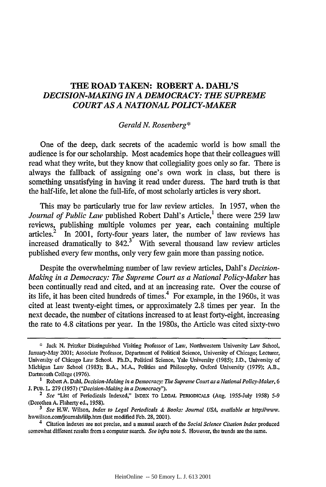# **THE ROAD TAKEN: ROBERT A. DAHL'S** *DECISION-MAKING INA DEMOCRACY: THE SUPREME COURT AS A NATIONAL POLICY-MAKER*

# *Gerald N. Rosenberg\**

One of the deep, dark secrets of the academic world is how small the audience is for our scholarship. Most academics hope that their colleagues will read what they write, but they know that collegiality goes only so far. There is always the falback of assigning one's own work in class, but there is something unsatisfying in having it read under duress. The hard truth is that the half-life, let alone the full-life, of most scholarly articles is very short.

This may be particularly true for law review articles. In 1957, when the *Journal of Public Law published Robert Dahl's Article*,<sup>1</sup> there were 259 law reviews, publishing multiple volumes per year, each containing multiple articles.<sup>2</sup> In 2001, forty-four years later, the number of law reviews has increased dramatically to  $842<sup>3</sup>$  With several thousand law review articles published every few months, only very few gain more than passing notice.

Despite the overwhelming number of law review articles, Dahl's *Decision-Making in a Democracy: The Supreme Court as a National Policy-Maker* has been continually read and cited, and at an increasing rate. Over the course of its life, it has been cited hundreds of times. $4$  For example, in the 1960s, it was cited at least twenty-eight times, or approximately 2.8 times per year. In the next decade, the number of citations increased to at least forty-eight, increasing the rate to 4.8 citations per year. In the 1980s, the Article was cited sixty-two

Jack **N.** Pritzker Distinguished Visiting Professor of Law, Northwestern University Law School, January-May 2001; Associate Professor, Department of Political Science, University of Chicago; Lecturer, University of Chicago Law School. Ph.D., Political Science, Yale University (1985); J.D., University of Michigan Law School (1983); B.A., M.A., Politics and Philosophy, Oxford University (1979); A.B., Dartmouth College (1976).

**<sup>1</sup>** Robert A. Dah, *Decision-Making in a Democracy: The Supreme* Court *as a National Policy-Maker, 6* J. PUB. L 279 (1957) *("Decision-Making in a Democracy"). 2 See* "List of Periodicals Indexed," **INDEX** TO **LEGAL PERIODICALS** (Aug. 1955-July 1958) 5-9

<sup>(</sup>Dorothea A. Flaherty ed., 1958).

**<sup>3</sup>** *See* H.W. Wilson, *Index to Legal Periodicals & Books: Journal USA, available at* http://www. hwwilson.com/journals/iilp.htm (last modified Feb. 28, 2001).

<sup>4</sup> Citation indexes are not precise, and a manual search of the *Social Science Citation Index* produced somewhat different results from a computer search. *See infra* note 5. However, the trends are the same.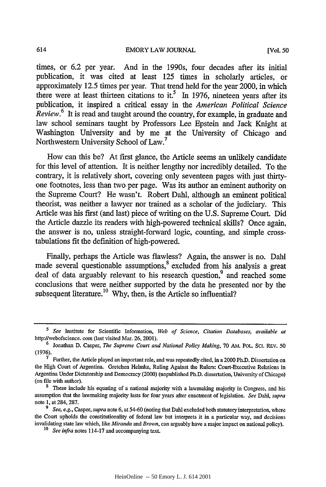times, or 6.2 per year. And in the 1990s, four decades after its initial publication, it was cited at least 125 times in scholarly articles, or approximately 12.5 times per year. That trend held for the year 2000, in which there were at least thirteen citations to it.<sup>5</sup> In 1976, nineteen years after its publication, it inspired a critical essay in the *American Political Science Review.<sup>6</sup>*It is read and taught around the country, for example, in graduate and law school seminars taught by Professors Lee Epstein and Jack Knight at Washington University and by me at the University of Chicago and Northwestern University School of Law.<sup>7</sup>

How can this be? At first glance, the Article seems an unlikely candidate for this level of attention. It is neither lengthy nor incredibly detailed. To the contrary, it is relatively short, covering only seventeen pages with just thirtyone footnotes, less than two per page. Was its author an eminent authority on the Supreme Court? He wasn't. Robert Dahl, although an eminent political theorist, was neither a lawyer nor trained as a scholar of the judiciary. This Article was his first (and last) piece of writing on the U.S. Supreme Court. Did the Article dazzle its readers with high-powered technical skills? Once again, the answer is no, unless straight-forward logic, counting, and simple crosstabulations fit the definition of high-powered.

Finally, perhaps the Article was flawless? Again, the answer is no. Dahl made several questionable assumptions,<sup>8</sup> excluded from his analysis a great deal of data arguably relevant to his research question,<sup>9</sup> and reached some conclusions that were neither supported by the data he presented nor by the subsequent literature.<sup>10</sup> Why, then, is the Article so influential?

*<sup>5</sup> See* Institute for Scientific Information, *Web of Science, Citation Databases, available at* http://webofscience. com (last visited Mar. 26, 2001).

<sup>&</sup>lt;sup>6</sup> Jonathan D. Casper, *The Supreme Court and National Policy Making*, 70 AM. POL. SCI. REV. 50 (1976).

**<sup>7</sup>** Further, the Article played an important role, and was repeatedly cited, in a 2000 Ph.D. Dissertation on the High Court of Argentina. Gretchen Helmke, Ruling Against the Rulers: Court-Executive Relations in Argentina Under Dictatorship and Democracy (2000) (unpublished Ph.D. dissertation, University of Chicago) (on file with author).

**<sup>8</sup>** These include his equating of a national majority with a lawmaking majority in Congress, and his assumption that the lawmaking majority lasts for four years after enactment of legislation. *See* Dahl, *supra* note **1,** at 284, 287.

*<sup>9</sup> See, e.g., Casper, supra* note **6,** at 54-60 (noting that Dahl excluded both statutory interpretation, where the Court upholds the constitutionality of federal law but interprets it in a particular way, and decisions invalidating state law which, like *Miranda and Brown,* can arguably have a major impact on national policy). *<sup>10</sup>See infra* notes 114-17 and accompanying text.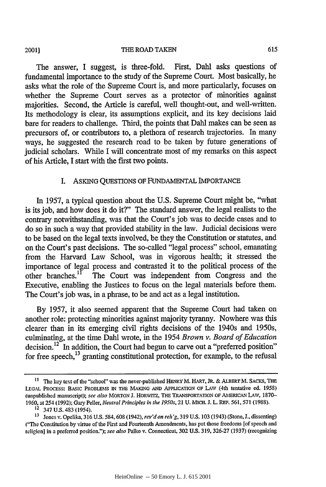**20011**

The answer, I suggest, is three-fold. First, Dahl asks questions of fundamental importance to the study of the Supreme Court. Most basically, he asks what the role of the Supreme Court is, and more particularly, focuses on whether the Supreme Court serves as a protector of minorities against majorities. Second, the Article is careful, well thought-out, and well-written. Its methodology is clear, its assumptions explicit, and its key decisions laid bare for readers to challenge. Third, the points that Dahl makes can be seen as precursors of, or contributors to, a plethora of research trajectories. In many ways, he suggested the research road to be taken by future generations of judicial scholars. While I will concentrate most of my remarks on this aspect of his Article, **I** start with the first two points.

## I. ASKING QUESTIONS OF FUNDAMENTAL IMPORTANCE

In 1957, a typical question about the U.S. Supreme Court might be, "what is its job, and how does it do it?" The standard answer, the legal realists to the contrary notwithstanding, was that the Court's job was to decide cases and to do so in such a way that provided stability in the law. Judicial decisions were to be based on the legal texts involved, be they the Constitution or statutes, and on the Court's past decisions. The so-called "legal process" school, emanating from the Harvard Law School, was in vigorous health; it stressed the importance of legal process and contrasted it to the political process of the other branches.'1 The Court was independent from Congress and the Executive, enabling the Justices to focus on the legal materials before them. The Court's job was, in a phrase, to be and act as a legal institution.

By 1957, it also seemed apparent that the Supreme Court had taken on another role: protecting minorities against majority tyranny. Nowhere was this clearer than in its emerging civil rights decisions of the 1940s and 1950s, culminating, at the time Dahl wrote, in the 1954 *Brown v. Board of Education* decision.<sup>12<sup> $-$ </sup> In addition, the Court had begun to carve out a "preferred position" for free speech,<sup>13</sup> granting constitutional protection, for example, to the refusal</sup>

**I1** The **key** text **of** the "school" was the never-published HENRY M. **HART, JR.** & **ALBERT** M. **SACKS, THE LEGAL** PROCESS: **BASIC** PROBLEMS **IN** THE **MAKING AND** APPLICATION OF **LAw** (4th tentative ed. 1958) (unpublished manuscript); *see also* MORTON J. HORWrTZ, THE TRANSPORTATION OF **AMERICAN** LAW, 1870- 1960, at 254 (1992); Gary Peller, *Neutral Principles in the 1950s,* 21 U. MICH. J. L. REF. 561, **571** (1988).

<sup>&</sup>lt;sup>12</sup> 347 U.S. 483 (1954).

**<sup>13</sup>** Jones v. Opelika, 316 U.S. 584,608 (1942), *rev'don reh'g,* 319 U.S. 103 (1943) (Stone, J., dissenting) **('The** Constitution **by** virtue of the First and Fourteenth Amendments, has put those freedoms [of speech and religion] in a preferred position."); *see also* Palko v. Connecticut, 302 U.S. 319, 326-27 (1937) (recognizing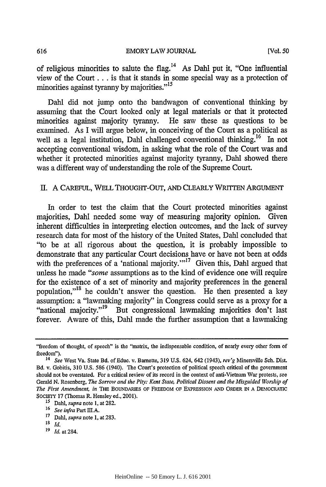of religious minorities to salute the flag.<sup>14</sup> As Dahl put it, "One influential view of the Court... is that it stands in some special way as a protection of minorities against tyranny by majorities."<sup>15</sup>

Dahl did not jump onto the bandwagon of conventional thinking by assuming that the Court looked only at legal materials or that it protected minorities against majority tyranny. He saw these as questions to be examined. As I will argue below, in conceiving of the Court as a political as well as a legal institution, Dahl challenged conventional thinking.<sup>16</sup> In not accepting conventional wisdom, in asking what the role of the Court was and whether it protected minorities against majority tyranny, Dahl showed there was a different way of understanding the role of the Supreme Court.

# II. A CAREFUL, WELL THOUGHT-OUT, AND CLEARLY WRITTEN ARGUMENT

In order to test the claim that the Court protected minorities against majorities, Dahl needed some way of measuring majority opinion. Given inherent difficulties in interpreting election outcomes, and the lack of survey research data for most of the history of the United States, Dahl concluded that "to be at all rigorous about the question, it is probably impossible to demonstrate that any particular Court decisions have or have not been at odds with the preferences of a 'national majority.'"<sup>17</sup> Given this, Dahl argued that unless he made *"some* assumptions as to the kind of evidence one will require for the existence of a set of minority and majority preferences in the general population,"18 he couldn't answer the question. He then presented a key assumption: a "lawmaking majority" in Congress could serve as a proxy for a "national majority."<sup>19</sup> But congressional lawmaking majorities don't last forever. Aware of this, Dahl made the further assumption that a lawmaking

- **17** Dahl, *supra* note 1, at 283.
- *18 Id.*

616

*19 Id.* at 284.

<sup>&</sup>quot;freedom of thought, of speech" is the "matrix, the indispensable condition, of nearly every other form of freedom").

<sup>&</sup>lt;sup>14</sup> See West Va. State Bd. of Educ. v. Barnette, 319 U.S. 624, 642 (1943), *rev'g Minersville Sch. Dist.* Bd. v. Gobitis, 310 U.S. 586 (1940). The Court's protection of political speech critical of the government should not be overstated. For a critical review of its record in the context of anti-Vietnam War protests, see Gerald N. Rosenberg, *The Sorrow and the Pity': Kent State, Political Dissent and the Misguided Worship of The First Amendment, in* THE BOUNDARIES **OF FREEDOM OF** EXPRESSION **AND** ORDER IN **A** DEMOCRATIC SOCIETY 17 (Thomas R. Hensley ed., 2001). **<sup>15</sup>***Dahl, supra* note 1, at 282.

**<sup>16</sup>***See infra* Part III.A.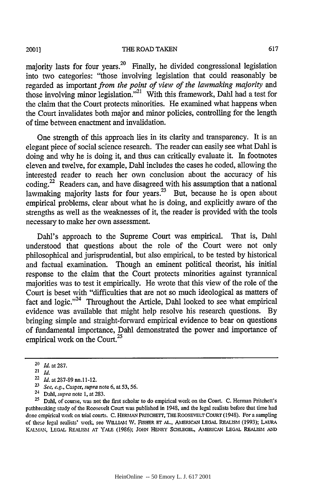#### THE ROAD TAKEN

majority lasts for four years.<sup>20</sup> Finally, he divided congressional legislation into two categories: "those involving legislation that could reasonably be regarded as important *from the point of view of the lawmaking majority and* those involving minor legislation."<sup>21</sup> With this framework, Dahl had a test for the claim that the Court protects minorities. He examined what happens when the Court invalidates both major and minor policies, controlling for the length of time between enactment and invalidation.

One strength of this approach lies in its clarity and transparency. It is an elegant piece of social science research. The reader can easily see what Dahl is doing and why he is doing it, and thus can critically evaluate it. In footnotes eleven and twelve, for example, Dahl includes the cases he coded, allowing the interested reader to reach her own conclusion about the accuracy of his coding.<sup>22</sup> Readers can, and have disagreed with his assumption that a national lawmaking majority lasts for four years.<sup>23</sup> But, because he is open about empirical problems, clear about what he is doing, and explicitly aware of the strengths as well as the weaknesses of it, the reader is provided with the tools necessary to make her own assessment.

Dahl's approach to the Supreme Court was empirical. That is, Dahl understood that questions about the role of the Court were not only philosophical and jurisprudential, but also empirical, to be tested by historical and factual examination. Though an eminent political theorist, his initial response to the claim that the Court protects minorities against tyrannical majorities was to test it empirically. He wrote that this view of the role of the Court is beset with "difficulties that are not so much ideological as matters of fact and logic."<sup>24</sup> Throughout the Article, Dahl looked to see what empirical evidence was available that might help resolve his research questions. By bringing simple and straight-forward empirical evidence to bear on questions of fundamental importance, Dahl demonstrated the power and importance of empirical work on the Court.<sup>25</sup>

2001]

**<sup>20</sup>** *Id.* at 287.

<sup>21</sup>*Id.*

<sup>22</sup> *Id.* at 287-89 nn.l 1-12.

*<sup>2-</sup>' See, e.g.,* Casper, *supra* note 6, at **53, 56.**

<sup>24</sup> Dahl, *supra* note 1, at 283.

<sup>&</sup>lt;sup>25</sup> Dahl, of course, was not the first scholar to do empirical work on the Court. C. Herman Pritchett's pathbreaking study of the Roosevelt Court was published in 1948, and the legal realists before that time had done empirical work on trial courts. C. HERMAN PRITCHETT, THE ROOSEVELT COURT (1948). For a sampling of these legal realists' work, see **WmLIAM W.** FISHER **Er AL., AMEiCAN LEGAL REALISM** (1993); LAURA KALMAN, **LEGAL REALISM AT** YALE (1986); JOHN **HENRY SCHLEGEL, AMERICAN LEGAL REALISM AND**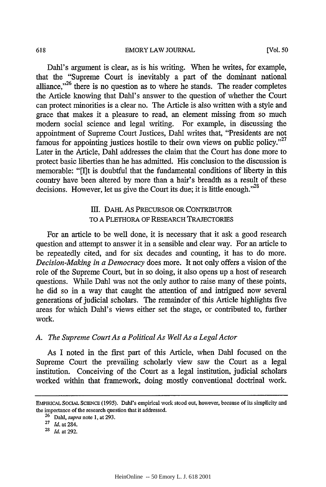Dahl's argument is clear, as is his writing. When he writes, for example, that the "Supreme Court is inevitably a part of the dominant national alliance."<sup>26</sup> there is no question as to where he stands. The reader completes the Article knowing that Dahl's answer to the question of whether the Court can protect minorities is a clear no. The Article is also written with a style and grace that makes it a pleasure to read, an element missing from so much modem social science and legal writing. For example, in discussing the appointment of Supreme Court Justices, Dahl writes that, "Presidents are not famous for appointing justices hostile to their own views on public policy."<sup>27</sup> Later in the Article, Dahl addresses the claim that the Court has done more to protect basic liberties than he has admitted. His conclusion to the discussion is memorable: "[I]t is doubtful that the fundamental conditions of liberty in this country have been altered by more than a hair's breadth as a result of these decisions. However, let us give the Court its due; it is little enough." $^{28}$ 

# **III.** DAHL As PRECURSOR OR CONTRIBUTOR TO A PLETHORA OF RESEARCH TRAJECTORIES

For an article to be well done, it is necessary that it ask a good research question and attempt to answer it in a sensible and clear way. For an article to be repeatedly cited, and for six decades and counting, it has to do more. *Decision-Making in a Democracy* does more. It not only offers a vision of the role of the Supreme Court, but in so doing, it also opens up a host of research questions. While Dahl was not the only author to raise many of these points, he did so in a way that caught the attention of and intrigued now several generations of judicial scholars. The remainder of this Article highlights five areas for which Dahl's views either set the stage, or contributed to, further work.

#### *A. The Supreme Court As a Political As Well As a Legal Actor*

As I noted in the first part of this Article, when Dahl focused on the Supreme Court the prevailing scholarly view saw the Court as a legal institution. Conceiving of the Court as a legal institution, judicial scholars worked within that framework, doing mostly conventional doctrinal work.

EMPIRCAL SOCIAL SCIENCE (1995). Dahl's empirical work stood out, however, because of its simplicity and the importance of the research question that it addressed.

<sup>26</sup> Dahl, *supra* note 1, at 293.

<sup>27</sup> *Id.* at 284.

**<sup>2&#</sup>x27;** *Id.* at 292.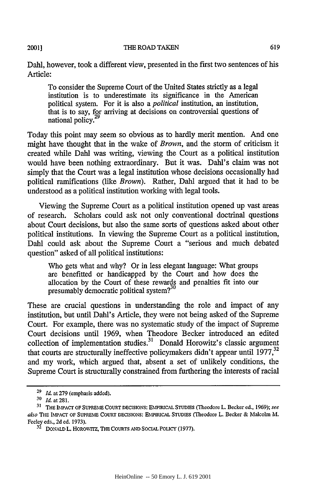#### THE ROAD TAKEN

Dahl, however, took a different view, presented in the first two sentences of his Article:

To consider the Supreme Court of the United States strictly as a legal institution is to underestimate its significance in the American political system. For it is also a *political* institution, an institution, that is to say, for arriving at decisions on controversial questions of national policy.<sup>2</sup>

Today this point may seem so obvious as to hardly merit mention. And one might have thought that in the wake of *Brown,* and the storm of criticism it created while Dahl was writing, viewing the Court as a political institution would have been nothing extraordinary. But it was. Dahl's claim was not simply that the Court was a legal institution whose decisions occasionally had political ramifications (like *Brown).* Rather, Dahl argued that it had to be understood as a political institution working with legal tools.

Viewing the Supreme Court as a political institution opened up vast areas of research. Scholars could ask not only conventional doctrinal questions about Court decisions, but also the same sorts of questions asked about other political institutions. In viewing the Supreme Court as a political institution, Dahl could ask about the Supreme Court a "serious and much debated question" asked of all political institutions:

Who gets what and why? Or in less elegant language: What groups are benefitted or handicapped by the Court and how does the allocation by the Court of these rewards and penalties fit into our presumably democratic political system?<sup>30</sup>

These are crucial questions in understanding the role and impact of any institution, but until Dahl's Article, they were not being asked of the Supreme Court. For example, there was no systematic study of the impact of Supreme Court decisions until 1969, when Theodore Becker introduced an edited collection of implementation studies.<sup>31</sup> Donald Horowitz's classic argument that courts are structurally ineffective policymakers didn't appear until  $1977$ ,  $32$ and my work, which argued that, absent a set of unlikely conditions, the Supreme Court is structurally constrained from furthering the interests of racial

**<sup>29</sup>***Id.* at **279** (emphasis added).

*<sup>&#</sup>x27;0 Id.* at281.

<sup>&</sup>lt;sup>31</sup> THE IMPACT OF SUPREME COURT DECISIONS: EMPIRICAL STUDIES (Theodore L. Becker ed., 1969); see also **THE** IMPACr OF **SUPREME COURT DECISIONS: EMPIRICAL STUDIES** (Theodore L. Becker **&** Malcolm M. Feeley eds., **2d ed.** 1973).

**<sup>32</sup>** DONALD L. HOROWITZ, **THE** COURTS **AND** SOCIAL PoLiCY **(1977).**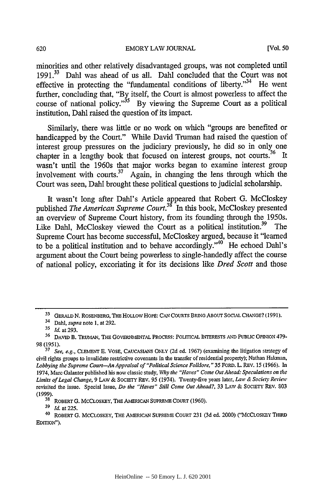minorities and other relatively disadvantaged groups, was not completed until **1991. 33** Dahl was ahead of us all. Dahl concluded that the Court was not effective in protecting the "fundamental conditions of liberty."<sup>34</sup> He went further, concluding that, "By itself, the Court is almost powerless to affect the course of national policy."<sup>35</sup> By viewing the Supreme Court as a political institution, Dahl raised the question of its impact.

Similarly, there was little or no work on which "groups are benefited or handicapped by the Court." While David Truman had raised the question of interest group pressures on the judiciary previously, he did so in only one chapter in a lengthy book that focused on interest groups, not courts.<sup>36</sup> It wasn't until the 1960s that major works began to examine interest group involvement with courts.<sup>37</sup> Again, in changing the lens through which the Court was seen, Dahl brought these political questions to judicial scholarship.

It wasn't long after Dahl's Article appeared that Robert G. McCloskey published *The American Supreme Court.*<sup>38</sup> In this book, McCloskey presented an overview of Supreme Court history, from its founding through the 1950s. Like Dahl, McCloskey viewed the Court as a political institution.<sup>39</sup> The Supreme Court has become successful, McCloskey argued, because it "learned to be a political institution and to behave accordingly."<sup>40</sup> He echoed Dahl's argument about the Court being powerless to single-handedly affect the course of national policy, excoriating it for its decisions like *Dred Scott* and those

**<sup>33</sup>** GERALD **N.** ROSENBERG, **THE HOLLOW HOPE: CAN COURTS** BRING **ABOUT SOCIAL CHANGE?** (1991).

<sup>34</sup> Dahl, *supra* note 1, at 292.

**<sup>31</sup>** *Id.* at 293.

**<sup>36</sup> DAVID** B. TRUMAN, THE GOVERNMENTAL PROCESS: POLITICAL INTERESTS **AND PUBLIC** OPINION 479- 98 (1951).

**<sup>37</sup>** *See, e.g.,* CLEMENT **E.** VOSE, CAUCASIANS **ONLY** (2d ed. 1967) (examining the litigation strategy of civil rights groups to invalidate restrictive covenants in the transfer of residential property); Nathan Hakman, Lobbying the Supreme Court-An Appraisal of "Political Science Folklore," 35 FORD. L. REV. 15 (1966). In 1974, Marc Galanter published his now classic study, *Why the "Haves" Come Out Ahead: Speculations on* the *Limits of Legal Change,* 9 **LAW** & SOCIETY REV. 95 (1974). Twenty-five years later, Law *& Society Review* revisited the issue. Special Issue, *Do the "Haves" Still Come Out Ahead?,* 33 LAW & SOCIETY REV. 803 (1999).

<sup>&</sup>lt;sup>38</sup> ROBERT G. MCCLOSKEY, THE AMERICAN SUPREME COURT (1960). <sup>39</sup> *Id.* at 225.

<sup>40</sup> ROBERT G. MCCLOSKEY, THE AMERICAN SUPREME COURT 231 (3d ed. 2000) ("MCCLOSKEY THIRD EDITION").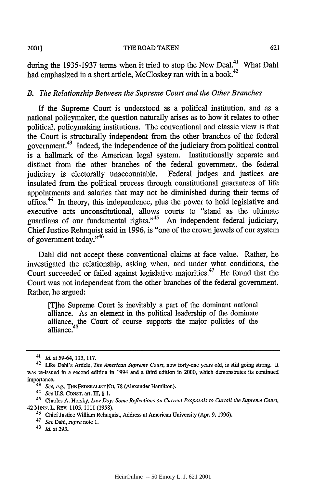during the 1935-1937 terms when it tried to stop the New Deal.<sup>41</sup> What Dahl had emphasized in a short article, McCloskey ran with in a book.<sup>42</sup>

## *B. The Relationship Between the Supreme Court and the Other Branches*

**If** the Supreme Court is understood as a political institution, and as a national policymaker, the question naturally arises as to how it relates to other political, policymaking institutions. The conventional and classic view is that the Court is structurally independent from the other branches of the federal government.43 Indeed, the independence of the judiciary from political control is a hallmark of the American legal system. Institutionally separate and distinct from the other branches of the federal government, the federal judiciary is electorally unaccountable. Federal judges and justices are insulated from the political process through constitutional guarantees of life appointments and salaries that may not be diminished during their terms of office.44 In theory, this independence, plus the power to hold legislative and executive acts unconstitutional, allows courts to "stand as the ultimate guardians of our fundamental rights."<sup>45</sup> An independent federal judiciary, Chief Justice Rehnquist said in 1996, is "one of the crown jewels of our system of government today."<sup>46</sup>

Dahl did not accept these conventional claims at face value. Rather, he investigated the relationship, asking when, and under what conditions, the Court succeeded or failed against legislative majorities.<sup>47</sup> He found that the Court was not independent from the other branches of the federal government. Rather, he argued:

[T]he Supreme Court is inevitably a part of the dominant national alliance. As an element in the political leadership of the dominate alliance, the Court of course supports the major policies of the alliance.

*<sup>41</sup> Id.* at 59-64, **113, 117.**

<sup>42</sup> Like Dahl's Article, *The American Supreme Court,* now forty-one years old, is still going strong. It was re-issued in a second edition in 1994 and a third edition in 2000, which demonstrates its continued importance.

*<sup>43</sup> See, e.g.,* THE FEDERALIST No. 78 (Alexander Hamilton).

*<sup>44</sup> See* U.S. CONST. art. **llI,** § **1.**

<sup>45</sup> Charles A. Horsky, *Law Day: Some Reflections on Current Proposals to Curtail the Supreme Court,* <sup>42</sup>**MNN.** L REV. 1105, **1111** (1958). 46 Chief Justice william Rehnquist, Address at American University (Apr. 9, 1996).

*<sup>47</sup> See Dahl, supra* note 1.

*<sup>41</sup> Id.* at 293.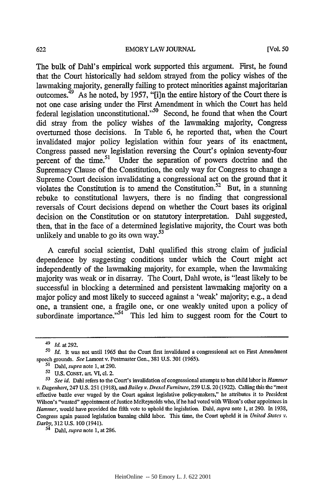The bulk of Dahl's empirical work supported this argument. First, he found that the Court historically had seldom strayed from the policy wishes of the lawmaking majority, generally failing to protect minorities against majoritarian outcomes. $49$  As he noted, by 1957, "[i]n the entire history of the Court there is not one case arising under the First Amendment in which the Court has held federal legislation unconstitutional."<sup>50</sup> Second, he found that when the Court did stray from the policy wishes of the lawmaking majority, Congress overturned those decisions. In Table 6, he reported that, when the Court invalidated major policy legislation within four years of its enactment, Congress passed new legislation reversing the Court's opinion seventy-four percent of the time.<sup>51</sup> Under the separation of powers doctrine and the Supremacy Clause of the Constitution, the only way for Congress to change a Supreme Court decision invalidating a congressional act on the ground that it violates the Constitution is to amend the Constitution.<sup>52</sup> But, in a stunning rebuke to constitutional lawyers, there is no finding that congressional reversals of Court decisions depend on whether the Court bases its original decision on the Constitution or on statutory interpretation. Dahl suggested, then, that in the face of a determined legislative majority, the Court was both unlikely and unable to go its own way. $53$ 

A careful social scientist, Dahl qualified this strong claim of judicial dependence by suggesting conditions under which the Court might act independently of the lawmaking majority, for example, when the lawmaking majority was weak or in disarray. The Court, Dahl wrote, is "least likely to be successful in blocking a determined and persistent lawmaking majority on a major policy and most likely to succeed against a 'weak' majority; e.g., a dead one, a transient one, a fragile one, or one weakly united upon a policy of subordinate importance."<sup>54</sup> This led him to suggest room for the Court to

<sup>49</sup>*Id.* at 292.

*<sup>50</sup> Id.* It was not until 1965 that the Court first invalidated a congressional act on First Amendment speech grounds. *See* Lamont v. Postmaster Gen., **381 U.S. 301 (1965).**

**<sup>51</sup>**Dahi, *supra* note **1,** at 290.

**<sup>52</sup>**U.S. CONST. art. VI, cI. 2.

*<sup>53</sup>See id.* Dahl refers to the Court's invalidation of congressional attempts to ban child labor in *Hammer v. Dagenhart, 247 U.S. 251 (1918), and Bailey v. Drexel Furniture, 259 U.S. 20 (1922). Calling this the "most* effective battle ever waged by the Court against legislative policy-makers," he attributes it to President Wilson's "wasted" appointment of Justice McReynolds who, if he had voted with Wilson's other appointees in Hammer, would have provided the fifth vote to uphold the legislation. Dahi, *supra* note 1, at 290. In 1938, Congress again passed legislation banning child labor. This time, the Court upheld it in *United States* v. *Darby,* 312 U.S. 100 (1941).

<sup>&</sup>lt;sup>54</sup> Dahl, *supra* note 1, at 286.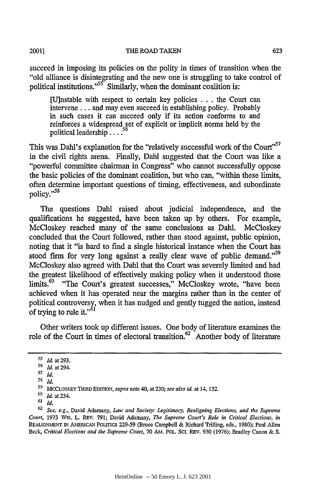20011

succeed in imposing its policies on the polity in times of transition when the "old alliance is disintegrating and the new one is struggling to take control of political institutions."<sup>55</sup> Similarly, when the dominant coalition is:

[U]nstable with respect to certain key policies ...the Court can intervene **...** and may even succeed in establishing policy. Probably in such cases it can succeed only if its action conforms to and reinforces a widespread set of explicit or implicit norms held by the political leadership .... **<sup>56</sup>**

This was Dahl's explanation for the "relatively successful work of the Court"<sup>57</sup> in the civil rights arena. Finally, Dahl suggested that the Court was like a "powerful committee chairman in Congress" who cannot successfully oppose the basic policies of the dominant coalition, but who can, "within these limits, often determine important questions of timing, effectiveness, and subordinate policy."<sup>58</sup>

The questions Dahl raised about judicial independence, and the qualifications he suggested, have been taken up by others. For example, McCloskey reached many of the same conclusions as Dahl. McCloskey concluded that the Court followed, rather than stood against, public opinion, noting that it "is hard to find a single historical instance when the Court has stood firm for very long against a really clear wave of public demand."<sup>59</sup> McCloskey also agreed with Dahl that the Court was severely limited and had the greatest likelihood of effectively making policy when it understood those limits.<sup>60</sup> "The Court's greatest successes," McCloskey wrote, "have been achieved when it has operated near the margins rather than in the center of political controversy, when it has nudged and gently tugged the nation, instead of trying to rule it."<sup>61</sup>

Other writers took up different issues. One body of literature examines the role of the Court in times of electoral transition.<sup>62</sup> Another body of literature

**<sup>&#</sup>x27;5** *Id.* at **293.**

**<sup>56</sup>** Id. at 294.

**<sup>57</sup>***Id.*

**<sup>58</sup> Id.**

**<sup>59</sup>** MCCLOSKEY THIRD **EDITION,** *supra* note 40, at 230; *see also id.* at 14, 132.

**<sup>&#</sup>x27;0 Id.** at 234.

**<sup>61</sup> Id.**

**<sup>62</sup>** See, e.g., David Adamany, **Law** and Society: Legitimacy, Realigning Elections, and the Supreme Court, 1973 **WIS.** L. REV. 791; David Adamany, **The** Supreme Court's Role in *Critical Elections, in* **REALIGNMENT IN AMERICAN POLITCS** 229-59 (Bruce Campbell & Richard Trilling, eds., 1980); Paul Allen Beck, *Critical Elections and the Supreme Court,* 70 Am. POL. **SCI.** REV. 930 (1976); Bradley Canon & S.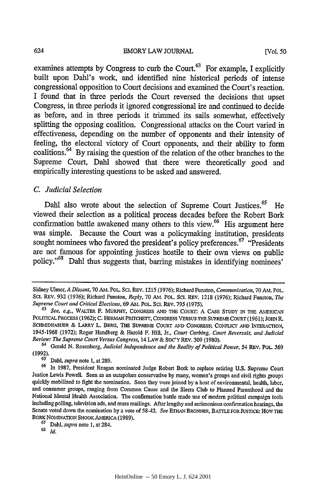examines attempts by Congress to curb the Court.<sup>63</sup> For example, I explicitly built upon Dahl's work, and identified nine historical periods of intense congressional opposition to Court decisions and examined the Court's reaction. I found that in three periods the Court reversed the decisions that upset Congress, in three periods it ignored congressional ire and continued to decide as before, and in three periods it trimmed its sails somewhat, effectively splitting the opposing coalition. Congressional attacks on the Court varied in effectiveness, depending on the number of opponents and their intensity of feeling, the electoral victory of Court opponents, and their ability to form coalitions.64 By raising the question of the relation of the other branches to the Supreme Court, Dahl showed that there were theoretically good and empirically interesting questions to be asked and answered.

# *C. Judicial Selection*

Dahl also wrote about the selection of Supreme Court Justices.<sup>65</sup> He viewed their selection as a political process decades before the Robert Bork confirmation battle awakened many others to this view.<sup>66</sup> His argument here was simple. Because the Court was a policymaking institution, presidents sought nominees who favored the president's policy preferences.<sup>67</sup> "Presidents" are not famous for appointing justices hostile to their own views on public policy."<sup>68</sup> Dahl thus suggests that, barring mistakes in identifying nominees'

Sidney Ulmer, *A Dissent,* 70 AM. POL. Sci. REV. 1215 (1976); Richard Funston, *Communication,* 70 AM. POL. **ScI.** REv. 932 (1976); Richard Funston, *Reply,* 70 **AI.** POL. SCI. REv. 1218 (1976); Richard Funston, *The Supreme Court and Critical Elections,* 69 AM. POL. **SCI.** REv. 795 (1975).

*<sup>63</sup>See, e.g.,* WALTER F. MURPHY, CONGRESS AND THE COURT: A CASE **STUDY** IN THE AMERICAN POLITICAL **PROCESS** (1962); **C.** HERIMAN PRITCHETT, CONGRESS VERSUS THE **SUPREME** COURT (1961); JOHN R. SCHMIDHASUER & LARRY L. BERG, THE SUPREME **COURT** AND **CONGRESS;** CONFuICr AND INTERACTION, 1945-1968 (1972); Roger Handberg & Harold F. Hill, Jr., *Court Curbing, Court Reversals, and Judicial Review: The Supreme Court Versus Congress,* 14 LAw & Soc'y REV. 309 (1980).

<sup>&</sup>lt;sup>64</sup> Gerald N. Rosenberg, *Judicial Independence and the Reality of Political Power*, 54 REV. POL. 369<br>(1992).

<sup>(1992).</sup> 65 Dahl, *supra* note 1, at 289.

<sup>66</sup> In 1987, President Reagan nominated Judge Robert Bork to replace retiring U.S. Supreme Court Justice Lewis Powell. Seen as an outspoken conservative by many, women's groups and civil rights groups quickly mobilized to fight the nomination. Soon they were joined by a host of environmental, health, labor, and consumer groups, ranging from Common Cause and the Sierra Club to Planned Parenthood and the National Mental Health Association. The confirmation battle made use of modem political campaign tools including polling, television ads, and mass mailings. After lengthy and acrimonious confirmation hearings, the Senate voted down the nomination by a vote of 58-42. *See* ETHAN BRONNER, BATTLE FOR JUSTICE: HOW THE BORK NOmINATION SHOOK AMERICA (1989). 67 Dahl, *supra* note 1, at 284.

<sup>68</sup>*id.*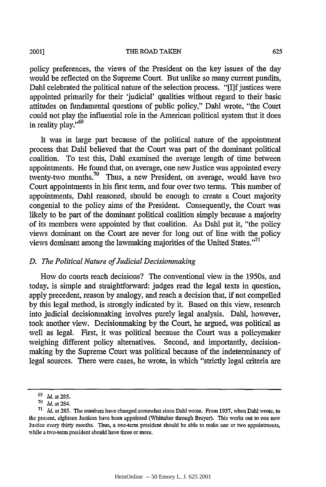2001]

#### THE ROAD TAKEN

policy preferences, the views of the President on the key issues of the day would be reflected on the Supreme Court. But unlike so many current pundits, Dahl celebrated the political nature of the selection process. "[I]f justices were appointed primarily for their 'judicial' qualities without regard to their basic attitudes on fundamental questions of public policy," Dahl wrote, "the Court could not play the influential role in the American political system that it does in reality play."<sup>69</sup>

It was in large part because of the political nature of the appointment process that Dahl believed that the Court was part of the dominant political coalition. To test this, Dahl examined the average length of time between appointments. He found that, on average, one new Justice was appointed every twenty-two months.<sup>70</sup> Thus, a new President, on average, would have two Court appointments in his first term, and four over two terms. This number of appointments, Dahl reasoned, should be enough to create a Court majority congenial to the policy aims of the President. Consequently, the Court was likely to be part of the dominant political coalition simply because a majority of its members were appointed by that coalition. As Dahl put it, "the policy views dominant on the Court are never for long out of line with the policy views dominant among the lawmaking majorities of the United States."<sup>71</sup>

## *D. The Political Nature of Judicial Decisionmaking*

How do courts reach decisions? The conventional view in the 1950s, and today, is simple and straightforward: judges read the legal texts in question, apply precedent, reason by analogy, and reach a decision that, if not compelled by this legal method, is strongly indicated by it. Based on this view, research into judicial decisionmaking involves purely legal analysis. Dahl, however, took another view. Decisionmaking by the Court, he argued, was political as well as legal. First, it was political because the Court was a policymaker weighing different policy alternatives. Second, and importantly, decisionmaking by the Supreme Court was political because of the indeterminancy of legal sources. There were cases, he wrote, in which "strictly legal criteria are

**<sup>&#</sup>x27;9** *Id.* at 285.

<sup>70</sup> Id. at 284.

<sup>71</sup>*Id.* at 285. The numbers have changed somewhat since Dahl wrote. From 1957, when Dahl wrote, to the present, eighteen Justices have been appointed (Vhittaker through Breyer). This works out to one new Justice every thirty months. Thus, a one-term president should be able to make one or two appointments, while a two-term president should have three or more.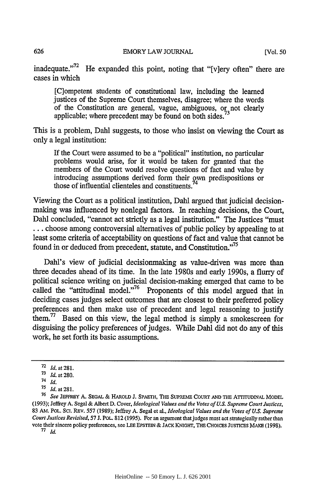inadequate."<sup>72</sup> He expanded this point, noting that "[v]ery often" there are cases in which

[C]ompetent students of constitutional law, including the learned justices of the Supreme Court themselves, disagree; where the words of the Constitution are general, vague, ambiguous, or not clearly applicable; where precedent may be found on both sides.

This is a problem, Dahl suggests, to those who insist on viewing the Court as only a legal institution:

If the Court were assumed to be a "political" institution, no particular problems would arise, for it would be taken for granted that the members of the Court would resolve questions of fact and value by introducing assumptions derived form their own predispositions or introducing assumptions derived form their ov<br>those of influential clienteles and constituents.<sup>74</sup>

Viewing the Court as a political institution, Dahl argued that judicial decisionmaking was influenced by nonlegal factors. In reaching decisions, the Court, Dahl concluded, "cannot act strictly as a legal institution." The Justices "must **...** choose among controversial alternatives of public policy by appealing to at least some criteria of acceptability on questions of fact and value that cannot be found in or deduced from precedent, statute, and Constitution."<sup>75</sup>

Dahl's view of judicial decisionmaking as value-driven was more than three decades ahead of its time. In the late 1980s and early 1990s, a flurry of political science writing on judicial decision-making emerged that came to be called the "attitudinal model."<sup>76</sup> Proponents of this model argued that in deciding cases judges select outcomes that are closest to their preferred policy preferences and then make use of precedent and legal reasoning to justify them.77 Based on this view, the legal method is simply a smokescreen for disguising the policy preferences of judges. While Dahl did not do any of this work, he set forth its basic assumptions.

**<sup>72</sup>***Id.at* 281.

**<sup>71</sup>** *Id.* at 280.

<sup>74</sup>*Id.*

**<sup>75</sup>**Id.at281.

<sup>76</sup>*See* **JEFFREY A. SEGAL &** HAROLD **J.** SPAETH, THE SUPREME **COURT AND** THE **ATlTUDINAL** MODEL (1993); Jeffrey A. Segal & Albert D. Cover, *Ideological Values and the Votes of U.S. Supreme Court Justices,* 83 AM. POL. SCI. REV. 557 (1989); Jeffrey A. Segal et al., *Ideological Values and the Votes of U.S. Supreme Court Justices Revisited,* **57** J. PoL. 812 (1995). For an argument that judges must act strategically rather than vote their sincere policy preferences, see LEE EPSTEIN & JACK KNIGHT, **THE** CHOICES **JUSTICES MAKE (1998).**

**<sup>77</sup>** *Id.*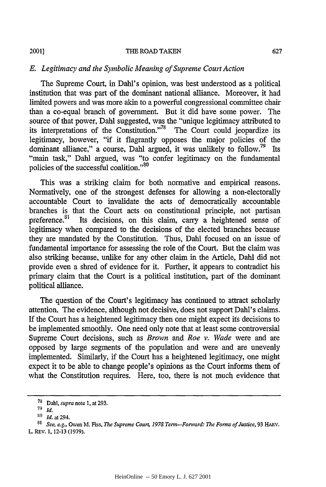#### THE ROAD **TAKEN**

## *E. Legitimacy and the Symbolic Meaning of Supreme Court Action*

The Supreme Court, in Dahl's opinion, was best understood as a political institution that was part of the dominant national alliance. Moreover, it had limited powers and was more akin to a powerful congressional committee chair than a co-equal branch of government. But it did have some power. The source of that power, Dahi suggested, was the "unique legitimacy attributed to its interpretations of the Constitution."78 The Court could jeopardize its legitimacy, however, "if it flagrantly opposes the major policies of the dominant alliance," a course, Dahl argued, it was unlikely to follow.<sup>79</sup> Its "main task," Dahl argued, was "to confer legitimacy on the fundamental policies of the successful coalition."<sup>80</sup>

This was a striking claim for both normative and empirical reasons. Normatively, one of the strongest defenses for allowing a non-electorally accountable Court to invalidate the acts of democratically accountable branches is that the Court acts on constitutional principle, not partisan preference.<sup>81</sup> Its decisions, on this claim, carry a heightened sense of legitimacy when compared to the decisions of the elected branches because they are mandated by the Constitution. Thus, Dahl focused on an issue of fundamental importance for assessing the role of the Court. But the claim was also striking because, unlike for any other claim in the Article, Dahl did not provide even a shred of evidence for it. Further, it appears to contradict his primary claim that the Court is a political institution, part of the dominant political alliance.

The question of the Court's legitimacy has continued to attract scholarly attention. The evidence, although not decisive, does not support Dahl's claims. If the Court has a heightened legitimacy then one might expect its decisions to be implemented smoothly. One need only note that at least some controversial Supreme Court decisions, such as *Brown and Roe v. Wade* were and are opposed by large segments of the population and were and are unevenly implemented. Similarly, if the Court has a heightened legitimacy, one might expect it to be able to change people's opinions as the Court informs them of what the Constitution requires. Here, too, there is not much evidence that

**<sup>78</sup>**Dahl, *supra* note **1,** at **293.**

**<sup>79</sup>** *Id.*

**<sup>&</sup>quot;'** *Id.* at 294.

**<sup>81</sup>***See, e.g.,* Owen M. Fiss, *The Supreme Court, 1978 Term-Forward: The Forms of Justice,* **93** HARV. L. REV. **1, 12-13 (1979).**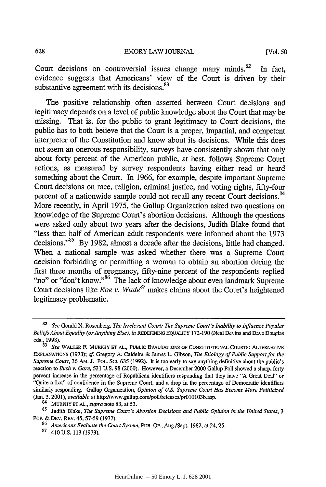Court decisions on controversial issues change many minds. <sup>82</sup> In fact, evidence suggests that Americans' view of the Court is driven by their substantive agreement with its decisions.<sup>83</sup>

The positive relationship often asserted between Court decisions and legitimacy depends on a level of public knowledge about the Court that may be missing. That is, for the public to grant legitimacy to Court decisions, the public has to both believe that the Court is a proper, impartial, and competent interpreter of the Constitution and know about its decisions. While this does not seem an onerous responsibility, surveys have consistently shown that only about forty percent of the American public, at best, follows Supreme Court actions, as measured by survey respondents having either read or heard something about the Court. In 1966, for example, despite important Supreme Court decisions on race, religion, criminal justice, and voting rights, fifty-four percent of a nationwide sample could not recall any recent Court decisions.<sup>84</sup> More recently, in April 1975, the Gallup Organization asked two questions on knowledge of the Supreme Court's abortion decisions. Although the questions were asked only about two years after the decisions, Judith Blake found that "less than half of American adult respondents were informed about the 1973 decisions."<sup>85</sup> By 1982, almost a decade after the decisions, little had changed. When a national sample was asked whether there was a Supreme Court decision forbidding or permitting a woman to obtain an abortion during the first three months of pregnancy, fifty-nine percent of the respondents replied "no" or "don't know." The lack of knowledge about even landmark Supreme Court decisions like *Roe v. Wade<sup>87</sup>* makes claims about the Court's heightened legitimacy problematic.

<sup>82</sup>*See* Gerald N. Rosenberg, *The Irrelevant Court: The Supreme Court's Inability to Influence Popular Beliefs About Equality (or Anything Else), in* REDEFINING EQUALITY 172-190 (Neal Devins and Dave Douglas eds., 1998).

<sup>83</sup>*See* WALTER F. MURPHY **ET AL., PUBLIC** EVALUATIONS OF CONSTITUTIONAL COURTS: ALTERNATIVE EXPLANATIONS (1973); *cf.* Gregory A. Caldeira & James L Gibson, *The Etiology of Public Support for the* Supreme Court, 36 AM. J. POL. SCI. 635 (1992). It is too early to say anything definitive about the public's reaction to *Bush v. Gore,* 531 U.S. 98 (2000). However, a December 2000 Gallup Poll showed a sharp, forty percent increase in the percentage of Republican identifiers responding that they have "A Great Deal" or "Quite a Lot" of confidence in the Supreme Court, and a drop in the percentage of Democratic identifiers similarly responding. Gallup Organization, *Opinion of U.S. Supreme Court Has Become More Politicized* (Jan. 3, 2001), *available at* http://vww.gallup.comlpolllreleases/prOI0103b.asp.

<sup>&</sup>lt;sup>84</sup> MURPHY ET AL., *supra* note 83, at 53.<br><sup>85</sup> Judith Blake, *The Supreme Court's Abortion Decisions and Public Opinion in the United States*, 3 PoP. & DEv. REV. 45,57-59 (1977).

**<sup>86</sup>***Americans Evaluate the Court System,* PUB. Op., Aug./Sept. 1982, at 24, 25.

**<sup>87</sup>**410U.S. 113 (1973).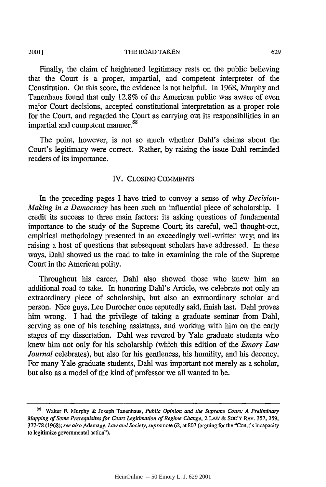#### 20011

#### THE ROAD TAKEN

Finally, the claim of heightened legitimacy rests on the public believing that the Court is a proper, impartial, and competent interpreter of the Constitution. On this score, the evidence is not helpful. In 1968, Murphy and Tanenhaus found that only 12.8% of the American public was aware of even major Court decisions, accepted constitutional interpretation as a proper role for the Court, and regarded the Court as carrying out its responsibilities in an impartial and competent manner.<sup>88</sup>

The point, however, is not so much whether Dahl's claims about the Court's legitimacy were correct. Rather, by raising the issue Dahl reminded readers of its importance.

#### IV. CLOSING COMMENTS

In the preceding pages I have tried to convey a sense of why *Decision-Making in a Democracy* has been such an influential piece of scholarship. I credit its success to three main factors: its asking questions of fundamental importance to the study of the Supreme Court; its careful, well thought-out, empirical methodology presented in an exceedingly well-written way; and its raising a host of questions that subsequent scholars have addressed. In these ways, Dahl showed us the road to take in examining the role of the Supreme Court in the American polity.

Throughout his career, Dahl also showed those who knew him an additional road to take. In honoring Dahl's Article, we celebrate not only an extraordinary piece of scholarship, but also an extraordinary scholar and person. Nice guys, Leo Durocher once reputedly said, finish last. Dahl proves him wrong. I had the privilege of taking a graduate seminar from Dahl, serving as one of his teaching assistants, and working with him on the early stages of my dissertation. Dahl was revered by Yale graduate students who knew him not only for his scholarship (which this edition of the *Emory Law Journal* celebrates), but also for his gentleness, his humility, and his decency. For many Yale graduate students, Dahi was important not merely as a scholar, but also as a model of the kind of professor we all wanted to be.

**<sup>88</sup>**Walter F. Murphy & Joseph Tanenhaus, *Public Opinion and the Supreme Court: A Preliminary Mapping of Some Prerequisites for Court Legitimation of Regime Change,* 2 LAW & Soc'Y REv. **357,** 359, 377-78 (1968); *see also* Adamany, *Law and Society, supra* note 62, at 807 (arguing for the "Court's incapacity to legitimize governmental action").